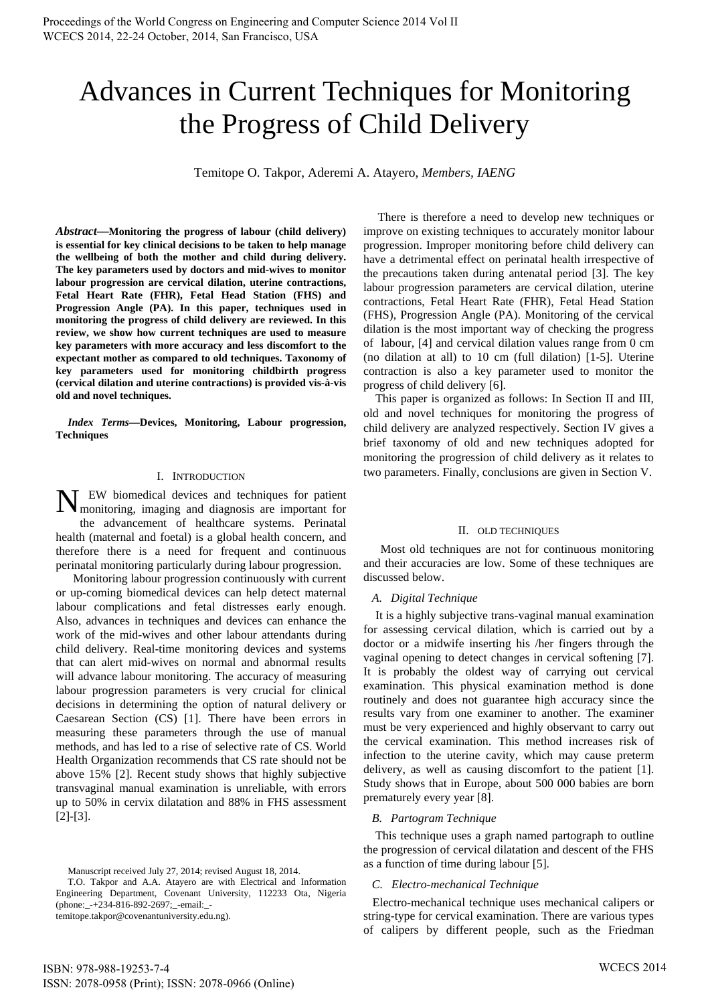# Advances in Current Techniques for Monitoring the Progress of Child Delivery

Temitope O. Takpor, Aderemi A. Atayero, *Members, IAENG*

*Abstract***—Monitoring the progress of labour (child delivery) is essential for key clinical decisions to be taken to help manage the wellbeing of both the mother and child during delivery. The key parameters used by doctors and mid-wives to monitor labour progression are cervical dilation, uterine contractions, Fetal Heart Rate (FHR), Fetal Head Station (FHS) and Progression Angle (PA). In this paper, techniques used in monitoring the progress of child delivery are reviewed. In this review, we show how current techniques are used to measure key parameters with more accuracy and less discomfort to the expectant mother as compared to old techniques. Taxonomy of key parameters used for monitoring childbirth progress (cervical dilation and uterine contractions) is provided vis-à-vis old and novel techniques.** 

*Index Terms***—Devices, Monitoring, Labour progression, Techniques** 

### I. INTRODUCTION

N EW biomedical devices and techniques for patient monitoring, imaging and diagnosis are important for monitoring, imaging and diagnosis are important for the advancement of healthcare systems. Perinatal health (maternal and foetal) is a global health concern, and therefore there is a need for frequent and continuous perinatal monitoring particularly during labour progression.

 Monitoring labour progression continuously with current or up-coming biomedical devices can help detect maternal labour complications and fetal distresses early enough. Also, advances in techniques and devices can enhance the work of the mid-wives and other labour attendants during child delivery. Real-time monitoring devices and systems that can alert mid-wives on normal and abnormal results will advance labour monitoring. The accuracy of measuring labour progression parameters is very crucial for clinical decisions in determining the option of natural delivery or Caesarean Section (CS) [1]. There have been errors in measuring these parameters through the use of manual methods, and has led to a rise of selective rate of CS. World Health Organization recommends that CS rate should not be above 15% [2]. Recent study shows that highly subjective transvaginal manual examination is unreliable, with errors up to 50% in cervix dilatation and 88% in FHS assessment [2]-[3].

Manuscript received July 27, 2014; revised August 18, 2014.

 There is therefore a need to develop new techniques or improve on existing techniques to accurately monitor labour progression. Improper monitoring before child delivery can have a detrimental effect on perinatal health irrespective of the precautions taken during antenatal period [3]. The key labour progression parameters are cervical dilation, uterine contractions, Fetal Heart Rate (FHR), Fetal Head Station (FHS), Progression Angle (PA). Monitoring of the cervical dilation is the most important way of checking the progress of labour, [4] and cervical dilation values range from 0 cm (no dilation at all) to 10 cm (full dilation) [1-5]. Uterine contraction is also a key parameter used to monitor the progress of child delivery [6].

This paper is organized as follows: In Section II and III, old and novel techniques for monitoring the progress of child delivery are analyzed respectively. Section IV gives a brief taxonomy of old and new techniques adopted for monitoring the progression of child delivery as it relates to two parameters. Finally, conclusions are given in Section V.

#### II. OLD TECHNIQUES

Most old techniques are not for continuous monitoring and their accuracies are low. Some of these techniques are discussed below.

#### *A. Digital Technique*

 It is a highly subjective trans-vaginal manual examination for assessing cervical dilation, which is carried out by a doctor or a midwife inserting his /her fingers through the vaginal opening to detect changes in cervical softening [7]. It is probably the oldest way of carrying out cervical examination. This physical examination method is done routinely and does not guarantee high accuracy since the results vary from one examiner to another. The examiner must be very experienced and highly observant to carry out the cervical examination. This method increases risk of infection to the uterine cavity, which may cause preterm delivery, as well as causing discomfort to the patient [1]. Study shows that in Europe, about 500 000 babies are born prematurely every year [8].

#### *B. Partogram Technique*

 This technique uses a graph named partograph to outline the progression of cervical dilatation and descent of the FHS as a function of time during labour [5].

#### *C. Electro-mechanical Technique*

 Electro-mechanical technique uses mechanical calipers or string-type for cervical examination. There are various types of calipers by different people, such as the Friedman

T.O. Takpor and A.A. Atayero are with Electrical and Information Engineering Department, Covenant University, 112233 Ota, Nigeria (phone:\_-+234-816-892-2697;\_-email:\_ temitope.takpor@covenantuniversity.edu.ng).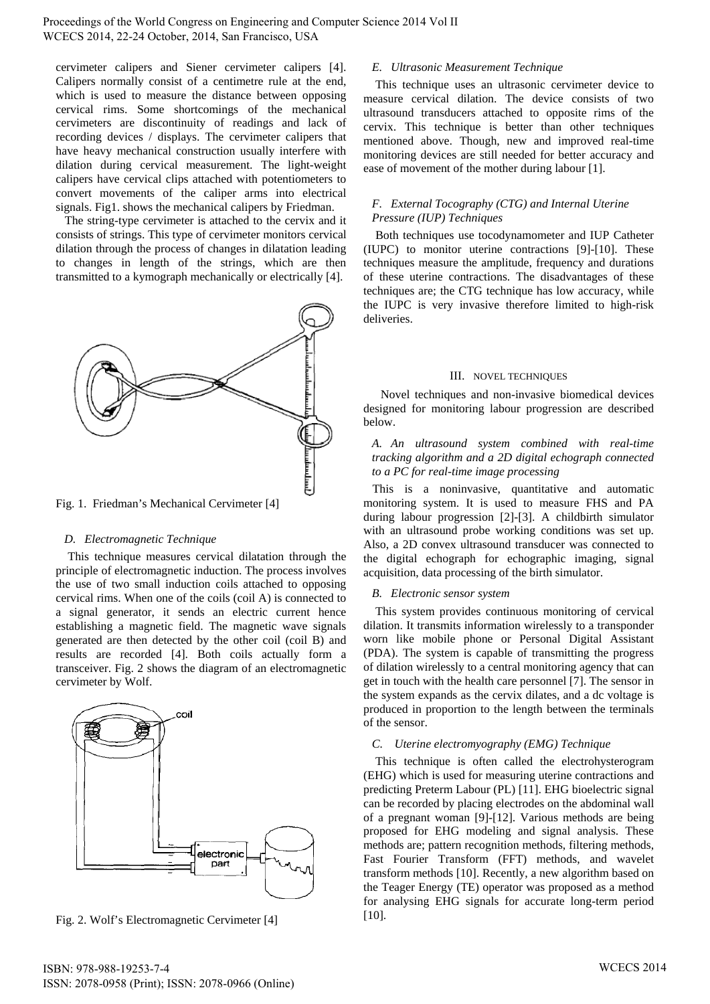cervimeter calipers and Siener cervimeter calipers [4]. Calipers normally consist of a centimetre rule at the end, which is used to measure the distance between opposing cervical rims. Some shortcomings of the mechanical cervimeters are discontinuity of readings and lack of recording devices / displays. The cervimeter calipers that have heavy mechanical construction usually interfere with dilation during cervical measurement. The light-weight calipers have cervical clips attached with potentiometers to convert movements of the caliper arms into electrical signals. Fig1. shows the mechanical calipers by Friedman.

 The string-type cervimeter is attached to the cervix and it consists of strings. This type of cervimeter monitors cervical dilation through the process of changes in dilatation leading to changes in length of the strings, which are then transmitted to a kymograph mechanically or electrically [4].



Fig. 1. Friedman's Mechanical Cervimeter [4]

## *D. Electromagnetic Technique*

 This technique measures cervical dilatation through the principle of electromagnetic induction. The process involves the use of two small induction coils attached to opposing cervical rims. When one of the coils (coil A) is connected to a signal generator, it sends an electric current hence establishing a magnetic field. The magnetic wave signals generated are then detected by the other coil (coil B) and results are recorded [4]. Both coils actually form a transceiver. Fig. 2 shows the diagram of an electromagnetic cervimeter by Wolf.



Fig. 2. Wolf's Electromagnetic Cervimeter [4]

# *E. Ultrasonic Measurement Technique*

 This technique uses an ultrasonic cervimeter device to measure cervical dilation. The device consists of two ultrasound transducers attached to opposite rims of the cervix. This technique is better than other techniques mentioned above. Though, new and improved real-time monitoring devices are still needed for better accuracy and ease of movement of the mother during labour [1].

## *F. External Tocography (CTG) and Internal Uterine Pressure (IUP) Techniques*

 Both techniques use tocodynamometer and IUP Catheter (IUPC) to monitor uterine contractions [9]-[10]. These techniques measure the amplitude, frequency and durations of these uterine contractions. The disadvantages of these techniques are; the CTG technique has low accuracy, while the IUPC is very invasive therefore limited to high-risk deliveries.

## III. NOVEL TECHNIQUES

Novel techniques and non-invasive biomedical devices designed for monitoring labour progression are described below.

## *A. An ultrasound system combined with real-time tracking algorithm and a 2D digital echograph connected to a PC for real-time image processing*

 This is a noninvasive, quantitative and automatic monitoring system. It is used to measure FHS and PA during labour progression [2]-[3]. A childbirth simulator with an ultrasound probe working conditions was set up. Also, a 2D convex ultrasound transducer was connected to the digital echograph for echographic imaging, signal acquisition, data processing of the birth simulator.

## *B. Electronic sensor system*

 This system provides continuous monitoring of cervical dilation. It transmits information wirelessly to a transponder worn like mobile phone or Personal Digital Assistant (PDA). The system is capable of transmitting the progress of dilation wirelessly to a central monitoring agency that can get in touch with the health care personnel [7]. The sensor in the system expands as the cervix dilates, and a dc voltage is produced in proportion to the length between the terminals of the sensor.

## *C. Uterine electromyography (EMG) Technique*

 This technique is often called the electrohysterogram (EHG) which is used for measuring uterine contractions and predicting Preterm Labour (PL) [11]. EHG bioelectric signal can be recorded by placing electrodes on the abdominal wall of a pregnant woman [9]-[12]. Various methods are being proposed for EHG modeling and signal analysis. These methods are; pattern recognition methods, filtering methods, Fast Fourier Transform (FFT) methods, and wavelet transform methods [10]. Recently, a new algorithm based on the Teager Energy (TE) operator was proposed as a method for analysing EHG signals for accurate long-term period [10].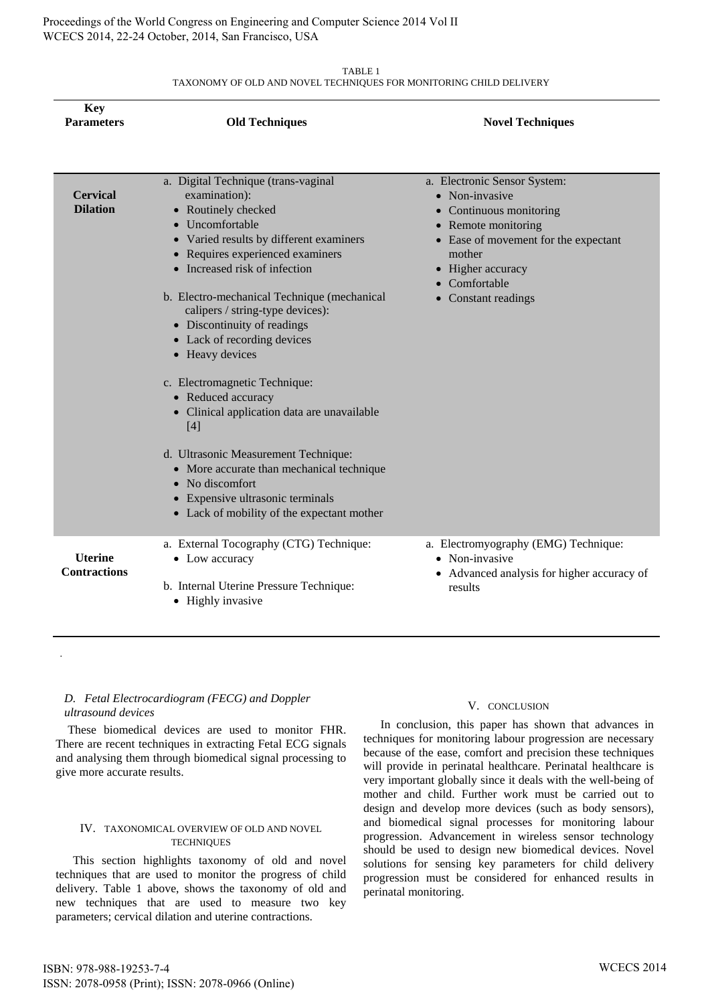Proceedings of the World Congress on Engineering and Computer Science 2014 Vol II WCECS 2014, 22-24 October, 2014, San Francisco, USA

> TABLE 1 TAXONOMY OF OLD AND NOVEL TECHNIQUES FOR MONITORING CHILD DELIVERY

| <b>Key</b><br><b>Parameters</b>       | <b>Old Techniques</b>                                                                                                                                                                                                                                                                                                                                                                                                                                                                                                                                                                                                                                                                       | <b>Novel Techniques</b>                                                                                                                                                                               |
|---------------------------------------|---------------------------------------------------------------------------------------------------------------------------------------------------------------------------------------------------------------------------------------------------------------------------------------------------------------------------------------------------------------------------------------------------------------------------------------------------------------------------------------------------------------------------------------------------------------------------------------------------------------------------------------------------------------------------------------------|-------------------------------------------------------------------------------------------------------------------------------------------------------------------------------------------------------|
| <b>Cervical</b><br><b>Dilation</b>    | a. Digital Technique (trans-vaginal<br>examination):<br>• Routinely checked<br>• Uncomfortable<br>• Varied results by different examiners<br>• Requires experienced examiners<br>• Increased risk of infection<br>b. Electro-mechanical Technique (mechanical<br>calipers / string-type devices):<br>• Discontinuity of readings<br>• Lack of recording devices<br>• Heavy devices<br>c. Electromagnetic Technique:<br>• Reduced accuracy<br>• Clinical application data are unavailable<br>$[4]$<br>d. Ultrasonic Measurement Technique:<br>• More accurate than mechanical technique<br>• No discomfort<br>• Expensive ultrasonic terminals<br>• Lack of mobility of the expectant mother | a. Electronic Sensor System:<br>• Non-invasive<br>Continuous monitoring<br>Remote monitoring<br>• Ease of movement for the expectant<br>mother<br>Higher accuracy<br>Comfortable<br>Constant readings |
| <b>Uterine</b><br><b>Contractions</b> | a. External Tocography (CTG) Technique:<br>• Low accuracy<br>b. Internal Uterine Pressure Technique:<br>• Highly invasive                                                                                                                                                                                                                                                                                                                                                                                                                                                                                                                                                                   | a. Electromyography (EMG) Technique:<br>Non-invasive<br>$\bullet$<br>• Advanced analysis for higher accuracy of<br>results                                                                            |

## *D. Fetal Electrocardiogram (FECG) and Doppler ultrasound devices*

.

 These biomedical devices are used to monitor FHR. There are recent techniques in extracting Fetal ECG signals and analysing them through biomedical signal processing to give more accurate results.

#### IV. TAXONOMICAL OVERVIEW OF OLD AND NOVEL **TECHNIQUES**

This section highlights taxonomy of old and novel techniques that are used to monitor the progress of child delivery. Table 1 above, shows the taxonomy of old and new techniques that are used to measure two key parameters; cervical dilation and uterine contractions.

#### V. CONCLUSION

In conclusion, this paper has shown that advances in techniques for monitoring labour progression are necessary because of the ease, comfort and precision these techniques will provide in perinatal healthcare. Perinatal healthcare is very important globally since it deals with the well-being of mother and child. Further work must be carried out to design and develop more devices (such as body sensors), and biomedical signal processes for monitoring labour progression. Advancement in wireless sensor technology should be used to design new biomedical devices. Novel solutions for sensing key parameters for child delivery progression must be considered for enhanced results in perinatal monitoring.